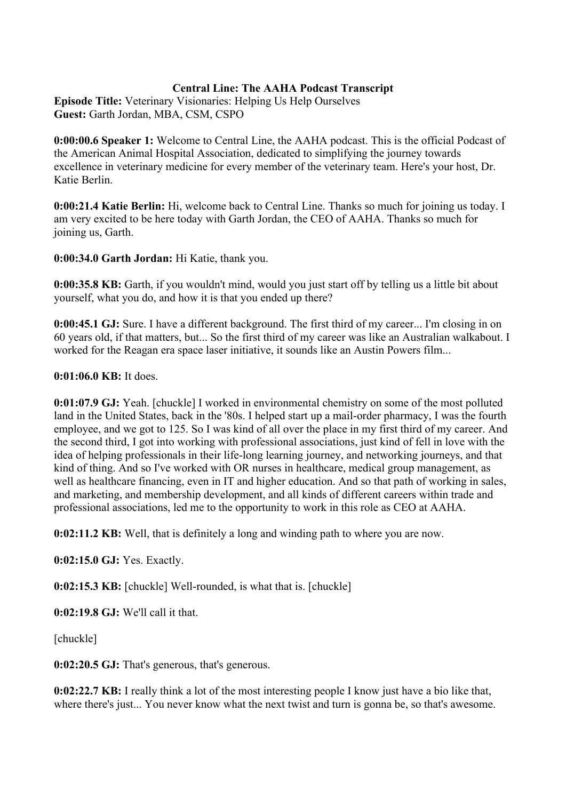## **Central Line: The AAHA Podcast Transcript**

**Episode Title:** Veterinary Visionaries: Helping Us Help Ourselves **Guest:** Garth Jordan, MBA, CSM, CSPO

**0:00:00.6 Speaker 1:** Welcome to Central Line, the AAHA podcast. This is the official Podcast of the American Animal Hospital Association, dedicated to simplifying the journey towards excellence in veterinary medicine for every member of the veterinary team. Here's your host, Dr. Katie Berlin.

**0:00:21.4 Katie Berlin:** Hi, welcome back to Central Line. Thanks so much for joining us today. I am very excited to be here today with Garth Jordan, the CEO of AAHA. Thanks so much for joining us, Garth.

**0:00:34.0 Garth Jordan:** Hi Katie, thank you.

**0:00:35.8 KB:** Garth, if you wouldn't mind, would you just start off by telling us a little bit about yourself, what you do, and how it is that you ended up there?

**0:00:45.1 GJ:** Sure. I have a different background. The first third of my career... I'm closing in on 60 years old, if that matters, but... So the first third of my career was like an Australian walkabout. I worked for the Reagan era space laser initiative, it sounds like an Austin Powers film...

#### **0:01:06.0 KB:** It does.

**0:01:07.9 GJ:** Yeah. [chuckle] I worked in environmental chemistry on some of the most polluted land in the United States, back in the '80s. I helped start up a mail-order pharmacy, I was the fourth employee, and we got to 125. So I was kind of all over the place in my first third of my career. And the second third, I got into working with professional associations, just kind of fell in love with the idea of helping professionals in their life-long learning journey, and networking journeys, and that kind of thing. And so I've worked with OR nurses in healthcare, medical group management, as well as healthcare financing, even in IT and higher education. And so that path of working in sales, and marketing, and membership development, and all kinds of different careers within trade and professional associations, led me to the opportunity to work in this role as CEO at AAHA.

**0:02:11.2 KB:** Well, that is definitely a long and winding path to where you are now.

**0:02:15.0 GJ:** Yes. Exactly.

**0:02:15.3 KB:** [chuckle] Well-rounded, is what that is. [chuckle]

**0:02:19.8 GJ:** We'll call it that.

[chuckle]

**0:02:20.5 GJ:** That's generous, that's generous.

**0:02:22.7 KB:** I really think a lot of the most interesting people I know just have a bio like that, where there's just... You never know what the next twist and turn is gonna be, so that's awesome.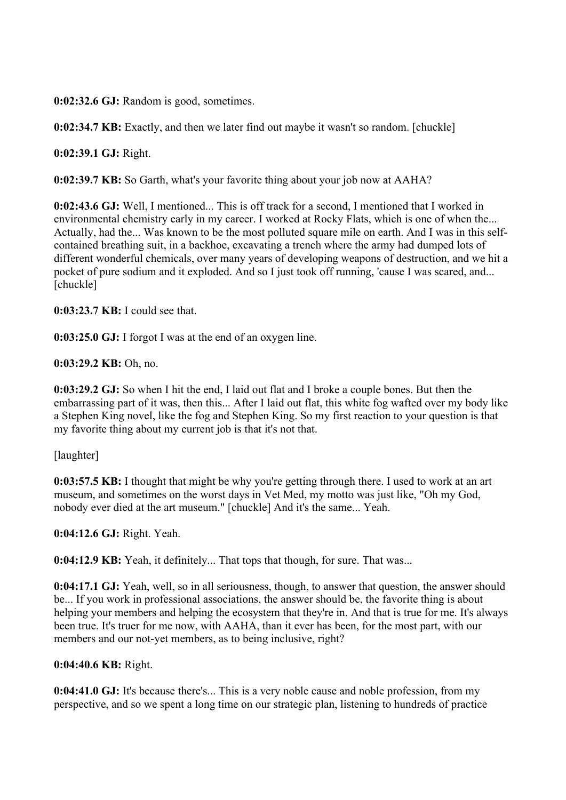**0:02:32.6 GJ:** Random is good, sometimes.

**0:02:34.7 KB:** Exactly, and then we later find out maybe it wasn't so random. [chuckle]

**0:02:39.1 GJ:** Right.

**0:02:39.7 KB:** So Garth, what's your favorite thing about your job now at AAHA?

**0:02:43.6 GJ:** Well, I mentioned... This is off track for a second, I mentioned that I worked in environmental chemistry early in my career. I worked at Rocky Flats, which is one of when the... Actually, had the... Was known to be the most polluted square mile on earth. And I was in this selfcontained breathing suit, in a backhoe, excavating a trench where the army had dumped lots of different wonderful chemicals, over many years of developing weapons of destruction, and we hit a pocket of pure sodium and it exploded. And so I just took off running, 'cause I was scared, and... [chuckle]

**0:03:23.7 KB:** I could see that.

**0:03:25.0 GJ:** I forgot I was at the end of an oxygen line.

**0:03:29.2 KB:** Oh, no.

**0:03:29.2 GJ:** So when I hit the end, I laid out flat and I broke a couple bones. But then the embarrassing part of it was, then this... After I laid out flat, this white fog wafted over my body like a Stephen King novel, like the fog and Stephen King. So my first reaction to your question is that my favorite thing about my current job is that it's not that.

[laughter]

**0:03:57.5 KB:** I thought that might be why you're getting through there. I used to work at an art museum, and sometimes on the worst days in Vet Med, my motto was just like, "Oh my God, nobody ever died at the art museum." [chuckle] And it's the same... Yeah.

**0:04:12.6 GJ:** Right. Yeah.

**0:04:12.9 KB:** Yeah, it definitely... That tops that though, for sure. That was...

**0:04:17.1 GJ:** Yeah, well, so in all seriousness, though, to answer that question, the answer should be... If you work in professional associations, the answer should be, the favorite thing is about helping your members and helping the ecosystem that they're in. And that is true for me. It's always been true. It's truer for me now, with AAHA, than it ever has been, for the most part, with our members and our not-yet members, as to being inclusive, right?

**0:04:40.6 KB:** Right.

**0:04:41.0 GJ:** It's because there's... This is a very noble cause and noble profession, from my perspective, and so we spent a long time on our strategic plan, listening to hundreds of practice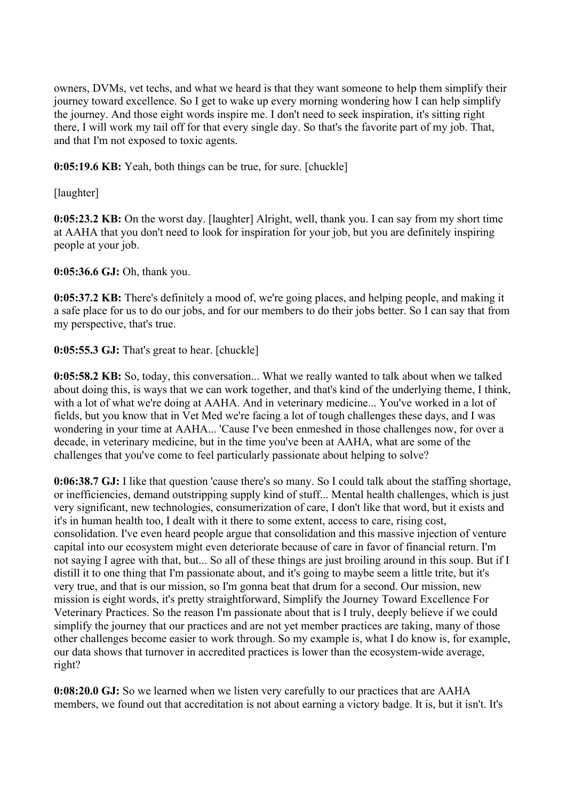owners, DVMs, vet techs, and what we heard is that they want someone to help them simplify their journey toward excellence. So I get to wake up every morning wondering how I can help simplify the journey. And those eight words inspire me. I don't need to seek inspiration, it's sitting right there, I will work my tail off for that every single day. So that's the favorite part of my job. That, and that I'm not exposed to toxic agents.

**0:05:19.6 KB:** Yeah, both things can be true, for sure. [chuckle]

[laughter]

**0:05:23.2 KB:** On the worst day. [laughter] Alright, well, thank you. I can say from my short time at AAHA that you don't need to look for inspiration for your job, but you are definitely inspiring people at your job.

**0:05:36.6 GJ:** Oh, thank you.

**0:05:37.2 KB:** There's definitely a mood of, we're going places, and helping people, and making it a safe place for us to do our jobs, and for our members to do their jobs better. So I can say that from my perspective, that's true.

# **0:05:55.3 GJ:** That's great to hear. [chuckle]

**0:05:58.2 KB:** So, today, this conversation... What we really wanted to talk about when we talked about doing this, is ways that we can work together, and that's kind of the underlying theme, I think, with a lot of what we're doing at AAHA. And in veterinary medicine... You've worked in a lot of fields, but you know that in Vet Med we're facing a lot of tough challenges these days, and I was wondering in your time at AAHA... 'Cause I've been enmeshed in those challenges now, for over a decade, in veterinary medicine, but in the time you've been at AAHA, what are some of the challenges that you've come to feel particularly passionate about helping to solve?

**0:06:38.7 GJ:** I like that question 'cause there's so many. So I could talk about the staffing shortage, or inefficiencies, demand outstripping supply kind of stuff... Mental health challenges, which is just very significant, new technologies, consumerization of care, I don't like that word, but it exists and it's in human health too, I dealt with it there to some extent, access to care, rising cost, consolidation. I've even heard people argue that consolidation and this massive injection of venture capital into our ecosystem might even deteriorate because of care in favor of financial return. I'm not saying I agree with that, but... So all of these things are just broiling around in this soup. But if I distill it to one thing that I'm passionate about, and it's going to maybe seem a little trite, but it's very true, and that is our mission, so I'm gonna beat that drum for a second. Our mission, new mission is eight words, it's pretty straightforward, Simplify the Journey Toward Excellence For Veterinary Practices. So the reason I'm passionate about that is I truly, deeply believe if we could simplify the journey that our practices and are not yet member practices are taking, many of those other challenges become easier to work through. So my example is, what I do know is, for example, our data shows that turnover in accredited practices is lower than the ecosystem-wide average, right?

**0:08:20.0 GJ:** So we learned when we listen very carefully to our practices that are AAHA members, we found out that accreditation is not about earning a victory badge. It is, but it isn't. It's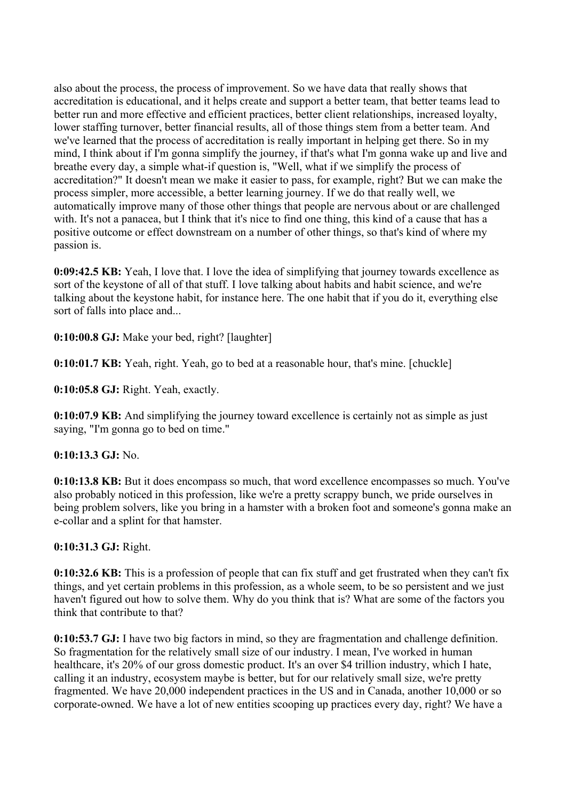also about the process, the process of improvement. So we have data that really shows that accreditation is educational, and it helps create and support a better team, that better teams lead to better run and more effective and efficient practices, better client relationships, increased loyalty, lower staffing turnover, better financial results, all of those things stem from a better team. And we've learned that the process of accreditation is really important in helping get there. So in my mind, I think about if I'm gonna simplify the journey, if that's what I'm gonna wake up and live and breathe every day, a simple what-if question is, "Well, what if we simplify the process of accreditation?" It doesn't mean we make it easier to pass, for example, right? But we can make the process simpler, more accessible, a better learning journey. If we do that really well, we automatically improve many of those other things that people are nervous about or are challenged with. It's not a panacea, but I think that it's nice to find one thing, this kind of a cause that has a positive outcome or effect downstream on a number of other things, so that's kind of where my passion is.

**0:09:42.5 KB:** Yeah, I love that. I love the idea of simplifying that journey towards excellence as sort of the keystone of all of that stuff. I love talking about habits and habit science, and we're talking about the keystone habit, for instance here. The one habit that if you do it, everything else sort of falls into place and...

**0:10:00.8 GJ:** Make your bed, right? [laughter]

**0:10:01.7 KB:** Yeah, right. Yeah, go to bed at a reasonable hour, that's mine. [chuckle]

**0:10:05.8 GJ:** Right. Yeah, exactly.

**0:10:07.9 KB:** And simplifying the journey toward excellence is certainly not as simple as just saying, "I'm gonna go to bed on time."

## **0:10:13.3 GJ:** No.

**0:10:13.8 KB:** But it does encompass so much, that word excellence encompasses so much. You've also probably noticed in this profession, like we're a pretty scrappy bunch, we pride ourselves in being problem solvers, like you bring in a hamster with a broken foot and someone's gonna make an e-collar and a splint for that hamster.

# **0:10:31.3 GJ:** Right.

**0:10:32.6 KB:** This is a profession of people that can fix stuff and get frustrated when they can't fix things, and yet certain problems in this profession, as a whole seem, to be so persistent and we just haven't figured out how to solve them. Why do you think that is? What are some of the factors you think that contribute to that?

**0:10:53.7 GJ:** I have two big factors in mind, so they are fragmentation and challenge definition. So fragmentation for the relatively small size of our industry. I mean, I've worked in human healthcare, it's 20% of our gross domestic product. It's an over \$4 trillion industry, which I hate, calling it an industry, ecosystem maybe is better, but for our relatively small size, we're pretty fragmented. We have 20,000 independent practices in the US and in Canada, another 10,000 or so corporate-owned. We have a lot of new entities scooping up practices every day, right? We have a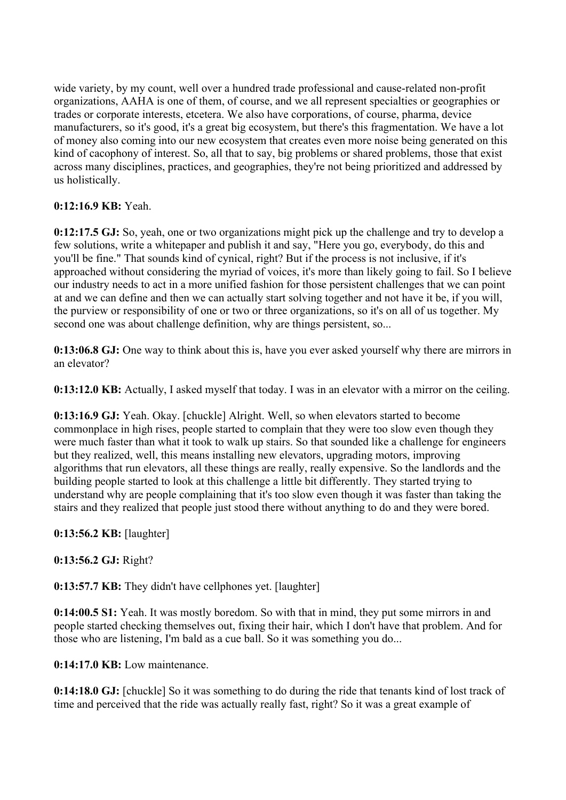wide variety, by my count, well over a hundred trade professional and cause-related non-profit organizations, AAHA is one of them, of course, and we all represent specialties or geographies or trades or corporate interests, etcetera. We also have corporations, of course, pharma, device manufacturers, so it's good, it's a great big ecosystem, but there's this fragmentation. We have a lot of money also coming into our new ecosystem that creates even more noise being generated on this kind of cacophony of interest. So, all that to say, big problems or shared problems, those that exist across many disciplines, practices, and geographies, they're not being prioritized and addressed by us holistically.

## **0:12:16.9 KB:** Yeah.

**0:12:17.5 GJ:** So, yeah, one or two organizations might pick up the challenge and try to develop a few solutions, write a whitepaper and publish it and say, "Here you go, everybody, do this and you'll be fine." That sounds kind of cynical, right? But if the process is not inclusive, if it's approached without considering the myriad of voices, it's more than likely going to fail. So I believe our industry needs to act in a more unified fashion for those persistent challenges that we can point at and we can define and then we can actually start solving together and not have it be, if you will, the purview or responsibility of one or two or three organizations, so it's on all of us together. My second one was about challenge definition, why are things persistent, so...

**0:13:06.8 GJ:** One way to think about this is, have you ever asked yourself why there are mirrors in an elevator?

**0:13:12.0 KB:** Actually, I asked myself that today. I was in an elevator with a mirror on the ceiling.

**0:13:16.9 GJ:** Yeah. Okay. [chuckle] Alright. Well, so when elevators started to become commonplace in high rises, people started to complain that they were too slow even though they were much faster than what it took to walk up stairs. So that sounded like a challenge for engineers but they realized, well, this means installing new elevators, upgrading motors, improving algorithms that run elevators, all these things are really, really expensive. So the landlords and the building people started to look at this challenge a little bit differently. They started trying to understand why are people complaining that it's too slow even though it was faster than taking the stairs and they realized that people just stood there without anything to do and they were bored.

**0:13:56.2 KB:** [laughter]

## **0:13:56.2 GJ:** Right?

**0:13:57.7 KB:** They didn't have cellphones yet. [laughter]

**0:14:00.5 S1:** Yeah. It was mostly boredom. So with that in mind, they put some mirrors in and people started checking themselves out, fixing their hair, which I don't have that problem. And for those who are listening, I'm bald as a cue ball. So it was something you do...

**0:14:17.0 KB:** Low maintenance.

**0:14:18.0 GJ:** [chuckle] So it was something to do during the ride that tenants kind of lost track of time and perceived that the ride was actually really fast, right? So it was a great example of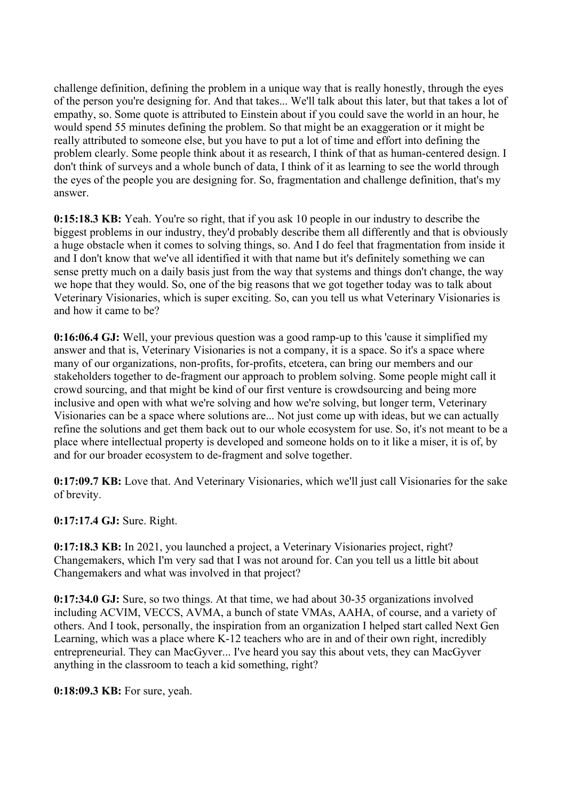challenge definition, defining the problem in a unique way that is really honestly, through the eyes of the person you're designing for. And that takes... We'll talk about this later, but that takes a lot of empathy, so. Some quote is attributed to Einstein about if you could save the world in an hour, he would spend 55 minutes defining the problem. So that might be an exaggeration or it might be really attributed to someone else, but you have to put a lot of time and effort into defining the problem clearly. Some people think about it as research, I think of that as human-centered design. I don't think of surveys and a whole bunch of data, I think of it as learning to see the world through the eyes of the people you are designing for. So, fragmentation and challenge definition, that's my answer.

**0:15:18.3 KB:** Yeah. You're so right, that if you ask 10 people in our industry to describe the biggest problems in our industry, they'd probably describe them all differently and that is obviously a huge obstacle when it comes to solving things, so. And I do feel that fragmentation from inside it and I don't know that we've all identified it with that name but it's definitely something we can sense pretty much on a daily basis just from the way that systems and things don't change, the way we hope that they would. So, one of the big reasons that we got together today was to talk about Veterinary Visionaries, which is super exciting. So, can you tell us what Veterinary Visionaries is and how it came to be?

**0:16:06.4 GJ:** Well, your previous question was a good ramp-up to this 'cause it simplified my answer and that is, Veterinary Visionaries is not a company, it is a space. So it's a space where many of our organizations, non-profits, for-profits, etcetera, can bring our members and our stakeholders together to de-fragment our approach to problem solving. Some people might call it crowd sourcing, and that might be kind of our first venture is crowdsourcing and being more inclusive and open with what we're solving and how we're solving, but longer term, Veterinary Visionaries can be a space where solutions are... Not just come up with ideas, but we can actually refine the solutions and get them back out to our whole ecosystem for use. So, it's not meant to be a place where intellectual property is developed and someone holds on to it like a miser, it is of, by and for our broader ecosystem to de-fragment and solve together.

**0:17:09.7 KB:** Love that. And Veterinary Visionaries, which we'll just call Visionaries for the sake of brevity.

**0:17:17.4 GJ:** Sure. Right.

**0:17:18.3 KB:** In 2021, you launched a project, a Veterinary Visionaries project, right? Changemakers, which I'm very sad that I was not around for. Can you tell us a little bit about Changemakers and what was involved in that project?

**0:17:34.0 GJ:** Sure, so two things. At that time, we had about 30-35 organizations involved including ACVIM, VECCS, AVMA, a bunch of state VMAs, AAHA, of course, and a variety of others. And I took, personally, the inspiration from an organization I helped start called Next Gen Learning, which was a place where K-12 teachers who are in and of their own right, incredibly entrepreneurial. They can MacGyver... I've heard you say this about vets, they can MacGyver anything in the classroom to teach a kid something, right?

**0:18:09.3 KB:** For sure, yeah.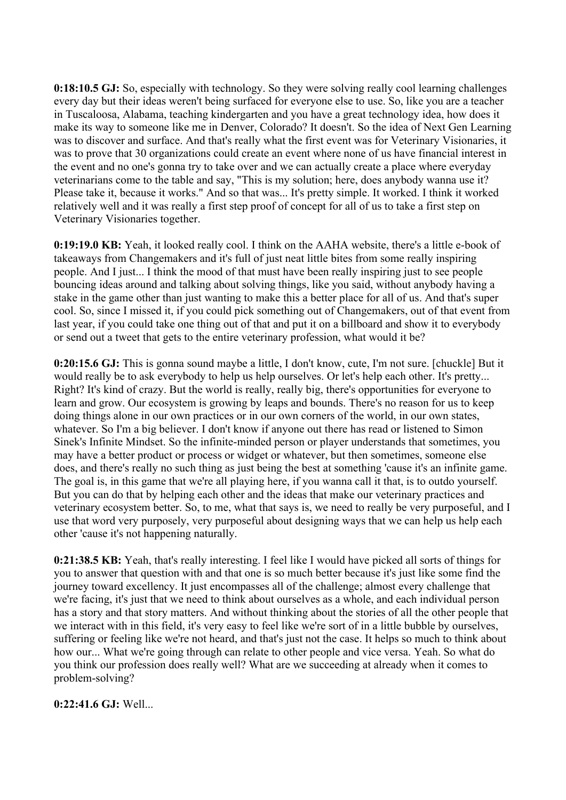**0:18:10.5 GJ:** So, especially with technology. So they were solving really cool learning challenges every day but their ideas weren't being surfaced for everyone else to use. So, like you are a teacher in Tuscaloosa, Alabama, teaching kindergarten and you have a great technology idea, how does it make its way to someone like me in Denver, Colorado? It doesn't. So the idea of Next Gen Learning was to discover and surface. And that's really what the first event was for Veterinary Visionaries, it was to prove that 30 organizations could create an event where none of us have financial interest in the event and no one's gonna try to take over and we can actually create a place where everyday veterinarians come to the table and say, "This is my solution; here, does anybody wanna use it? Please take it, because it works." And so that was... It's pretty simple. It worked. I think it worked relatively well and it was really a first step proof of concept for all of us to take a first step on Veterinary Visionaries together.

**0:19:19.0 KB:** Yeah, it looked really cool. I think on the AAHA website, there's a little e-book of takeaways from Changemakers and it's full of just neat little bites from some really inspiring people. And I just... I think the mood of that must have been really inspiring just to see people bouncing ideas around and talking about solving things, like you said, without anybody having a stake in the game other than just wanting to make this a better place for all of us. And that's super cool. So, since I missed it, if you could pick something out of Changemakers, out of that event from last year, if you could take one thing out of that and put it on a billboard and show it to everybody or send out a tweet that gets to the entire veterinary profession, what would it be?

**0:20:15.6 GJ:** This is gonna sound maybe a little, I don't know, cute, I'm not sure. [chuckle] But it would really be to ask everybody to help us help ourselves. Or let's help each other. It's pretty... Right? It's kind of crazy. But the world is really, really big, there's opportunities for everyone to learn and grow. Our ecosystem is growing by leaps and bounds. There's no reason for us to keep doing things alone in our own practices or in our own corners of the world, in our own states, whatever. So I'm a big believer. I don't know if anyone out there has read or listened to Simon Sinek's Infinite Mindset. So the infinite-minded person or player understands that sometimes, you may have a better product or process or widget or whatever, but then sometimes, someone else does, and there's really no such thing as just being the best at something 'cause it's an infinite game. The goal is, in this game that we're all playing here, if you wanna call it that, is to outdo yourself. But you can do that by helping each other and the ideas that make our veterinary practices and veterinary ecosystem better. So, to me, what that says is, we need to really be very purposeful, and I use that word very purposely, very purposeful about designing ways that we can help us help each other 'cause it's not happening naturally.

**0:21:38.5 KB:** Yeah, that's really interesting. I feel like I would have picked all sorts of things for you to answer that question with and that one is so much better because it's just like some find the journey toward excellency. It just encompasses all of the challenge; almost every challenge that we're facing, it's just that we need to think about ourselves as a whole, and each individual person has a story and that story matters. And without thinking about the stories of all the other people that we interact with in this field, it's very easy to feel like we're sort of in a little bubble by ourselves, suffering or feeling like we're not heard, and that's just not the case. It helps so much to think about how our... What we're going through can relate to other people and vice versa. Yeah. So what do you think our profession does really well? What are we succeeding at already when it comes to problem-solving?

## **0:22:41.6 GJ:** Well...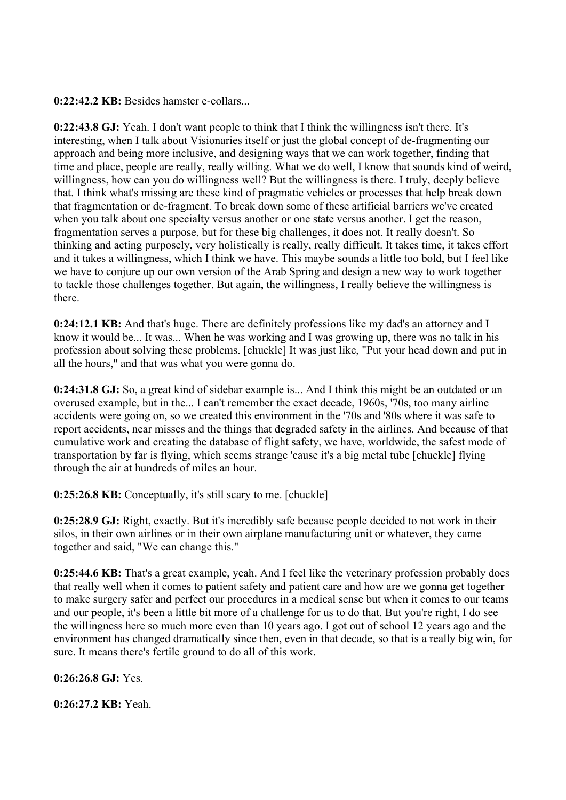**0:22:42.2 KB:** Besides hamster e-collars...

**0:22:43.8 GJ:** Yeah. I don't want people to think that I think the willingness isn't there. It's interesting, when I talk about Visionaries itself or just the global concept of de-fragmenting our approach and being more inclusive, and designing ways that we can work together, finding that time and place, people are really, really willing. What we do well, I know that sounds kind of weird, willingness, how can you do willingness well? But the willingness is there. I truly, deeply believe that. I think what's missing are these kind of pragmatic vehicles or processes that help break down that fragmentation or de-fragment. To break down some of these artificial barriers we've created when you talk about one specialty versus another or one state versus another. I get the reason, fragmentation serves a purpose, but for these big challenges, it does not. It really doesn't. So thinking and acting purposely, very holistically is really, really difficult. It takes time, it takes effort and it takes a willingness, which I think we have. This maybe sounds a little too bold, but I feel like we have to conjure up our own version of the Arab Spring and design a new way to work together to tackle those challenges together. But again, the willingness, I really believe the willingness is there.

**0:24:12.1 KB:** And that's huge. There are definitely professions like my dad's an attorney and I know it would be... It was... When he was working and I was growing up, there was no talk in his profession about solving these problems. [chuckle] It was just like, "Put your head down and put in all the hours," and that was what you were gonna do.

**0:24:31.8 GJ:** So, a great kind of sidebar example is... And I think this might be an outdated or an overused example, but in the... I can't remember the exact decade, 1960s, '70s, too many airline accidents were going on, so we created this environment in the '70s and '80s where it was safe to report accidents, near misses and the things that degraded safety in the airlines. And because of that cumulative work and creating the database of flight safety, we have, worldwide, the safest mode of transportation by far is flying, which seems strange 'cause it's a big metal tube [chuckle] flying through the air at hundreds of miles an hour.

**0:25:26.8 KB:** Conceptually, it's still scary to me. [chuckle]

**0:25:28.9 GJ:** Right, exactly. But it's incredibly safe because people decided to not work in their silos, in their own airlines or in their own airplane manufacturing unit or whatever, they came together and said, "We can change this."

**0:25:44.6 KB:** That's a great example, yeah. And I feel like the veterinary profession probably does that really well when it comes to patient safety and patient care and how are we gonna get together to make surgery safer and perfect our procedures in a medical sense but when it comes to our teams and our people, it's been a little bit more of a challenge for us to do that. But you're right, I do see the willingness here so much more even than 10 years ago. I got out of school 12 years ago and the environment has changed dramatically since then, even in that decade, so that is a really big win, for sure. It means there's fertile ground to do all of this work.

**0:26:26.8 GJ:** Yes.

**0:26:27.2 KB:** Yeah.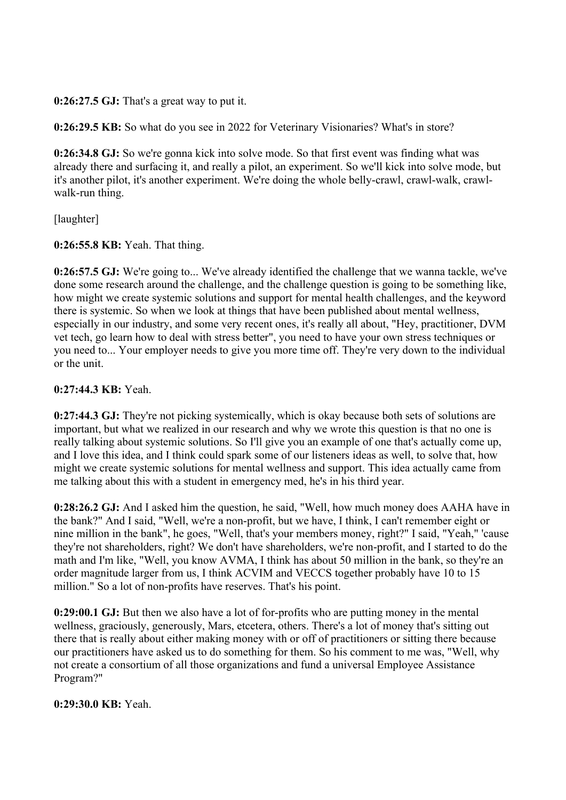**0:26:27.5 GJ:** That's a great way to put it.

**0:26:29.5 KB:** So what do you see in 2022 for Veterinary Visionaries? What's in store?

**0:26:34.8 GJ:** So we're gonna kick into solve mode. So that first event was finding what was already there and surfacing it, and really a pilot, an experiment. So we'll kick into solve mode, but it's another pilot, it's another experiment. We're doing the whole belly-crawl, crawl-walk, crawlwalk-run thing.

[laughter]

**0:26:55.8 KB:** Yeah. That thing.

**0:26:57.5 GJ:** We're going to... We've already identified the challenge that we wanna tackle, we've done some research around the challenge, and the challenge question is going to be something like, how might we create systemic solutions and support for mental health challenges, and the keyword there is systemic. So when we look at things that have been published about mental wellness, especially in our industry, and some very recent ones, it's really all about, "Hey, practitioner, DVM vet tech, go learn how to deal with stress better", you need to have your own stress techniques or you need to... Your employer needs to give you more time off. They're very down to the individual or the unit.

**0:27:44.3 KB:** Yeah.

**0:27:44.3 GJ:** They're not picking systemically, which is okay because both sets of solutions are important, but what we realized in our research and why we wrote this question is that no one is really talking about systemic solutions. So I'll give you an example of one that's actually come up, and I love this idea, and I think could spark some of our listeners ideas as well, to solve that, how might we create systemic solutions for mental wellness and support. This idea actually came from me talking about this with a student in emergency med, he's in his third year.

**0:28:26.2 GJ:** And I asked him the question, he said, "Well, how much money does AAHA have in the bank?" And I said, "Well, we're a non-profit, but we have, I think, I can't remember eight or nine million in the bank", he goes, "Well, that's your members money, right?" I said, "Yeah," 'cause they're not shareholders, right? We don't have shareholders, we're non-profit, and I started to do the math and I'm like, "Well, you know AVMA, I think has about 50 million in the bank, so they're an order magnitude larger from us, I think ACVIM and VECCS together probably have 10 to 15 million." So a lot of non-profits have reserves. That's his point.

**0:29:00.1 GJ:** But then we also have a lot of for-profits who are putting money in the mental wellness, graciously, generously, Mars, etcetera, others. There's a lot of money that's sitting out there that is really about either making money with or off of practitioners or sitting there because our practitioners have asked us to do something for them. So his comment to me was, "Well, why not create a consortium of all those organizations and fund a universal Employee Assistance Program?"

**0:29:30.0 KB:** Yeah.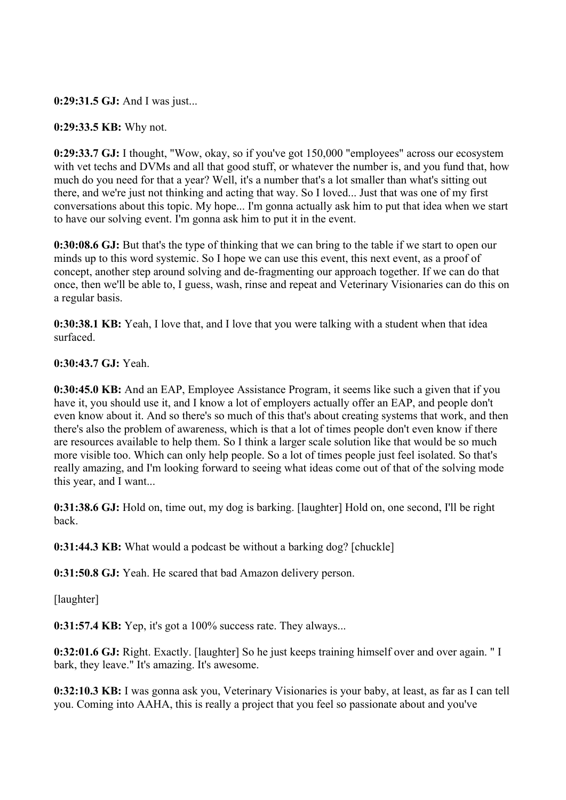### **0:29:31.5 GJ:** And I was just...

#### **0:29:33.5 KB:** Why not.

**0:29:33.7 GJ:** I thought, "Wow, okay, so if you've got 150,000 "employees" across our ecosystem with vet techs and DVMs and all that good stuff, or whatever the number is, and you fund that, how much do you need for that a year? Well, it's a number that's a lot smaller than what's sitting out there, and we're just not thinking and acting that way. So I loved... Just that was one of my first conversations about this topic. My hope... I'm gonna actually ask him to put that idea when we start to have our solving event. I'm gonna ask him to put it in the event.

**0:30:08.6 GJ:** But that's the type of thinking that we can bring to the table if we start to open our minds up to this word systemic. So I hope we can use this event, this next event, as a proof of concept, another step around solving and de-fragmenting our approach together. If we can do that once, then we'll be able to, I guess, wash, rinse and repeat and Veterinary Visionaries can do this on a regular basis.

**0:30:38.1 KB:** Yeah, I love that, and I love that you were talking with a student when that idea surfaced.

#### **0:30:43.7 GJ:** Yeah.

**0:30:45.0 KB:** And an EAP, Employee Assistance Program, it seems like such a given that if you have it, you should use it, and I know a lot of employers actually offer an EAP, and people don't even know about it. And so there's so much of this that's about creating systems that work, and then there's also the problem of awareness, which is that a lot of times people don't even know if there are resources available to help them. So I think a larger scale solution like that would be so much more visible too. Which can only help people. So a lot of times people just feel isolated. So that's really amazing, and I'm looking forward to seeing what ideas come out of that of the solving mode this year, and I want...

**0:31:38.6 GJ:** Hold on, time out, my dog is barking. [laughter] Hold on, one second, I'll be right back.

**0:31:44.3 KB:** What would a podcast be without a barking dog? [chuckle]

**0:31:50.8 GJ:** Yeah. He scared that bad Amazon delivery person.

[laughter]

**0:31:57.4 KB:** Yep, it's got a 100% success rate. They always...

**0:32:01.6 GJ:** Right. Exactly. [laughter] So he just keeps training himself over and over again. " I bark, they leave." It's amazing. It's awesome.

**0:32:10.3 KB:** I was gonna ask you, Veterinary Visionaries is your baby, at least, as far as I can tell you. Coming into AAHA, this is really a project that you feel so passionate about and you've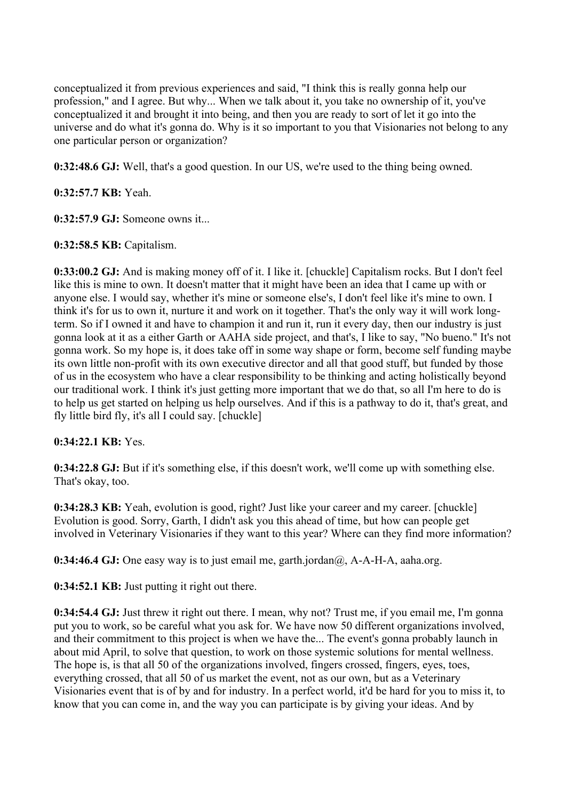conceptualized it from previous experiences and said, "I think this is really gonna help our profession," and I agree. But why... When we talk about it, you take no ownership of it, you've conceptualized it and brought it into being, and then you are ready to sort of let it go into the universe and do what it's gonna do. Why is it so important to you that Visionaries not belong to any one particular person or organization?

**0:32:48.6 GJ:** Well, that's a good question. In our US, we're used to the thing being owned.

**0:32:57.7 KB:** Yeah.

**0:32:57.9 GJ:** Someone owns it...

**0:32:58.5 KB:** Capitalism.

**0:33:00.2 GJ:** And is making money off of it. I like it. [chuckle] Capitalism rocks. But I don't feel like this is mine to own. It doesn't matter that it might have been an idea that I came up with or anyone else. I would say, whether it's mine or someone else's, I don't feel like it's mine to own. I think it's for us to own it, nurture it and work on it together. That's the only way it will work longterm. So if I owned it and have to champion it and run it, run it every day, then our industry is just gonna look at it as a either Garth or AAHA side project, and that's, I like to say, "No bueno." It's not gonna work. So my hope is, it does take off in some way shape or form, become self funding maybe its own little non-profit with its own executive director and all that good stuff, but funded by those of us in the ecosystem who have a clear responsibility to be thinking and acting holistically beyond our traditional work. I think it's just getting more important that we do that, so all I'm here to do is to help us get started on helping us help ourselves. And if this is a pathway to do it, that's great, and fly little bird fly, it's all I could say. [chuckle]

## **0:34:22.1 KB:** Yes.

**0:34:22.8 GJ:** But if it's something else, if this doesn't work, we'll come up with something else. That's okay, too.

**0:34:28.3 KB:** Yeah, evolution is good, right? Just like your career and my career. [chuckle] Evolution is good. Sorry, Garth, I didn't ask you this ahead of time, but how can people get involved in Veterinary Visionaries if they want to this year? Where can they find more information?

**0:34:46.4 GJ:** One easy way is to just email me, garth.jordan $(\partial)$ , A-A-H-A, aaha.org.

**0:34:52.1 KB:** Just putting it right out there.

**0:34:54.4 GJ:** Just threw it right out there. I mean, why not? Trust me, if you email me, I'm gonna put you to work, so be careful what you ask for. We have now 50 different organizations involved, and their commitment to this project is when we have the... The event's gonna probably launch in about mid April, to solve that question, to work on those systemic solutions for mental wellness. The hope is, is that all 50 of the organizations involved, fingers crossed, fingers, eyes, toes, everything crossed, that all 50 of us market the event, not as our own, but as a Veterinary Visionaries event that is of by and for industry. In a perfect world, it'd be hard for you to miss it, to know that you can come in, and the way you can participate is by giving your ideas. And by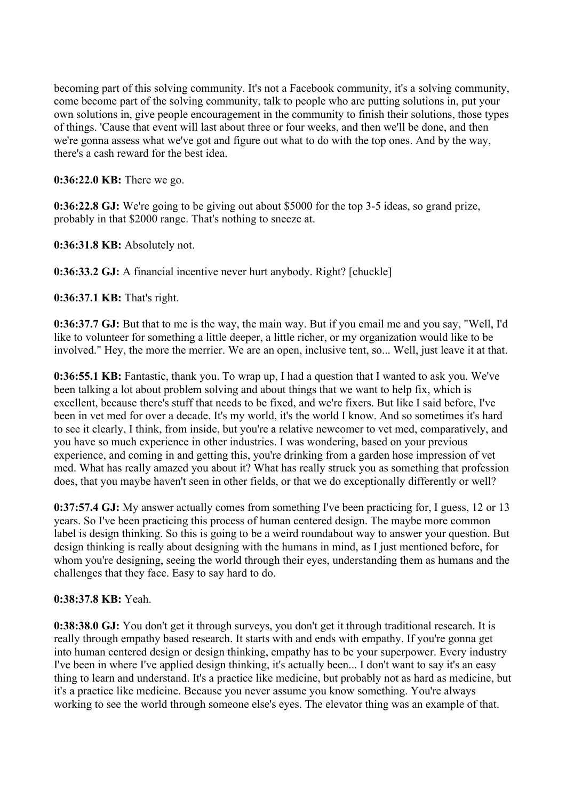becoming part of this solving community. It's not a Facebook community, it's a solving community, come become part of the solving community, talk to people who are putting solutions in, put your own solutions in, give people encouragement in the community to finish their solutions, those types of things. 'Cause that event will last about three or four weeks, and then we'll be done, and then we're gonna assess what we've got and figure out what to do with the top ones. And by the way, there's a cash reward for the best idea.

**0:36:22.0 KB:** There we go.

**0:36:22.8 GJ:** We're going to be giving out about \$5000 for the top 3-5 ideas, so grand prize, probably in that \$2000 range. That's nothing to sneeze at.

**0:36:31.8 KB:** Absolutely not.

**0:36:33.2 GJ:** A financial incentive never hurt anybody. Right? [chuckle]

**0:36:37.1 KB:** That's right.

**0:36:37.7 GJ:** But that to me is the way, the main way. But if you email me and you say, "Well, I'd like to volunteer for something a little deeper, a little richer, or my organization would like to be involved." Hey, the more the merrier. We are an open, inclusive tent, so... Well, just leave it at that.

**0:36:55.1 KB:** Fantastic, thank you. To wrap up, I had a question that I wanted to ask you. We've been talking a lot about problem solving and about things that we want to help fix, which is excellent, because there's stuff that needs to be fixed, and we're fixers. But like I said before, I've been in vet med for over a decade. It's my world, it's the world I know. And so sometimes it's hard to see it clearly, I think, from inside, but you're a relative newcomer to vet med, comparatively, and you have so much experience in other industries. I was wondering, based on your previous experience, and coming in and getting this, you're drinking from a garden hose impression of vet med. What has really amazed you about it? What has really struck you as something that profession does, that you maybe haven't seen in other fields, or that we do exceptionally differently or well?

**0:37:57.4 GJ:** My answer actually comes from something I've been practicing for, I guess, 12 or 13 years. So I've been practicing this process of human centered design. The maybe more common label is design thinking. So this is going to be a weird roundabout way to answer your question. But design thinking is really about designing with the humans in mind, as I just mentioned before, for whom you're designing, seeing the world through their eyes, understanding them as humans and the challenges that they face. Easy to say hard to do.

## **0:38:37.8 KB:** Yeah.

**0:38:38.0 GJ:** You don't get it through surveys, you don't get it through traditional research. It is really through empathy based research. It starts with and ends with empathy. If you're gonna get into human centered design or design thinking, empathy has to be your superpower. Every industry I've been in where I've applied design thinking, it's actually been... I don't want to say it's an easy thing to learn and understand. It's a practice like medicine, but probably not as hard as medicine, but it's a practice like medicine. Because you never assume you know something. You're always working to see the world through someone else's eyes. The elevator thing was an example of that.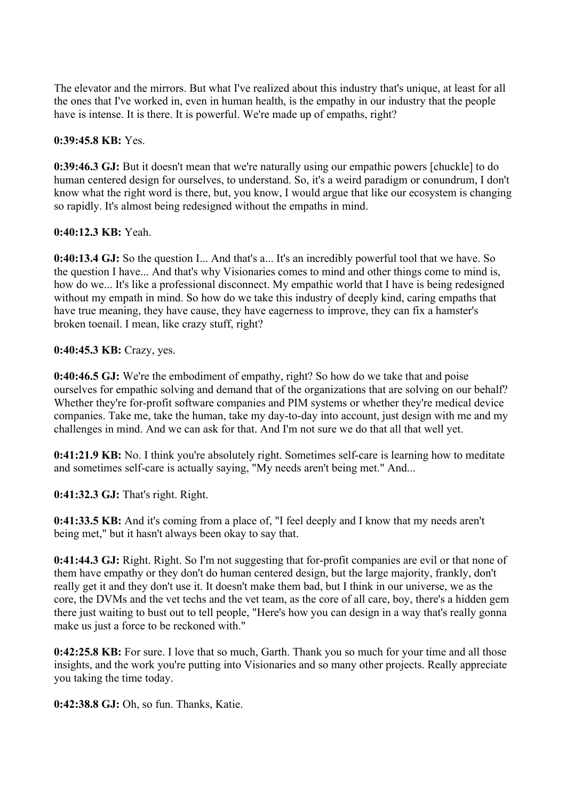The elevator and the mirrors. But what I've realized about this industry that's unique, at least for all the ones that I've worked in, even in human health, is the empathy in our industry that the people have is intense. It is there. It is powerful. We're made up of empaths, right?

### **0:39:45.8 KB:** Yes.

**0:39:46.3 GJ:** But it doesn't mean that we're naturally using our empathic powers [chuckle] to do human centered design for ourselves, to understand. So, it's a weird paradigm or conundrum, I don't know what the right word is there, but, you know, I would argue that like our ecosystem is changing so rapidly. It's almost being redesigned without the empaths in mind.

#### **0:40:12.3 KB:** Yeah.

**0:40:13.4 GJ:** So the question I... And that's a... It's an incredibly powerful tool that we have. So the question I have... And that's why Visionaries comes to mind and other things come to mind is, how do we... It's like a professional disconnect. My empathic world that I have is being redesigned without my empath in mind. So how do we take this industry of deeply kind, caring empaths that have true meaning, they have cause, they have eagerness to improve, they can fix a hamster's broken toenail. I mean, like crazy stuff, right?

#### **0:40:45.3 KB:** Crazy, yes.

**0:40:46.5 GJ:** We're the embodiment of empathy, right? So how do we take that and poise ourselves for empathic solving and demand that of the organizations that are solving on our behalf? Whether they're for-profit software companies and PIM systems or whether they're medical device companies. Take me, take the human, take my day-to-day into account, just design with me and my challenges in mind. And we can ask for that. And I'm not sure we do that all that well yet.

**0:41:21.9 KB:** No. I think you're absolutely right. Sometimes self-care is learning how to meditate and sometimes self-care is actually saying, "My needs aren't being met." And...

**0:41:32.3 GJ:** That's right. Right.

**0:41:33.5 KB:** And it's coming from a place of, "I feel deeply and I know that my needs aren't being met," but it hasn't always been okay to say that.

**0:41:44.3 GJ:** Right. Right. So I'm not suggesting that for-profit companies are evil or that none of them have empathy or they don't do human centered design, but the large majority, frankly, don't really get it and they don't use it. It doesn't make them bad, but I think in our universe, we as the core, the DVMs and the vet techs and the vet team, as the core of all care, boy, there's a hidden gem there just waiting to bust out to tell people, "Here's how you can design in a way that's really gonna make us just a force to be reckoned with."

**0:42:25.8 KB:** For sure. I love that so much, Garth. Thank you so much for your time and all those insights, and the work you're putting into Visionaries and so many other projects. Really appreciate you taking the time today.

**0:42:38.8 GJ:** Oh, so fun. Thanks, Katie.